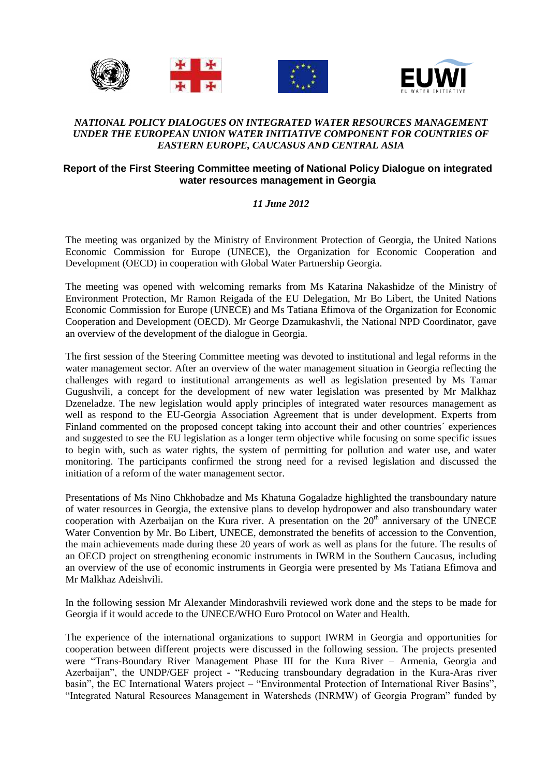



## *NATIONAL POLICY DIALOGUES ON INTEGRATED WATER RESOURCES MANAGEMENT UNDER THE EUROPEAN UNION WATER INITIATIVE COMPONENT FOR COUNTRIES OF EASTERN EUROPE, CAUCASUS AND CENTRAL ASIA*

## **Report of the First Steering Committee meeting of National Policy Dialogue on integrated water resources management in Georgia**

## *11 June 2012*

The meeting was organized by the Ministry of Environment Protection of Georgia, the United Nations Economic Commission for Europe (UNECE), the Organization for Economic Cooperation and Development (OECD) in cooperation with Global Water Partnership Georgia.

The meeting was opened with welcoming remarks from Ms Katarina Nakashidze of the Ministry of Environment Protection, Mr Ramon Reigada of the EU Delegation, Mr Bo Libert, the United Nations Economic Commission for Europe (UNECE) and Ms Tatiana Efimova of the Organization for Economic Cooperation and Development (OECD). Mr George Dzamukashvli, the National NPD Coordinator, gave an overview of the development of the dialogue in Georgia.

The first session of the Steering Committee meeting was devoted to institutional and legal reforms in the water management sector. After an overview of the water management situation in Georgia reflecting the challenges with regard to institutional arrangements as well as legislation presented by Ms Tamar Gugushvili, a concept for the development of new water legislation was presented by Mr Malkhaz Dzeneladze. The new legislation would apply principles of integrated water resources management as well as respond to the EU-Georgia Association Agreement that is under development. Experts from Finland commented on the proposed concept taking into account their and other countries´ experiences and suggested to see the EU legislation as a longer term objective while focusing on some specific issues to begin with, such as water rights, the system of permitting for pollution and water use, and water monitoring. The participants confirmed the strong need for a revised legislation and discussed the initiation of a reform of the water management sector.

Presentations of Ms Nino Chkhobadze and Ms Khatuna Gogaladze highlighted the transboundary nature of water resources in Georgia, the extensive plans to develop hydropower and also transboundary water cooperation with Azerbaijan on the Kura river. A presentation on the  $20<sup>th</sup>$  anniversary of the UNECE Water Convention by Mr. Bo Libert, UNECE, demonstrated the benefits of accession to the Convention, the main achievements made during these 20 years of work as well as plans for the future. The results of an OECD project on strengthening economic instruments in IWRM in the Southern Caucasus, including an overview of the use of economic instruments in Georgia were presented by Ms Tatiana Efimova and Mr Malkhaz Adeishvili.

In the following session Mr Alexander Mindorashvili reviewed work done and the steps to be made for Georgia if it would accede to the UNECE/WHO Euro Protocol on Water and Health.

The experience of the international organizations to support IWRM in Georgia and opportunities for cooperation between different projects were discussed in the following session. The projects presented were "Trans-Boundary River Management Phase III for the Kura River – Armenia, Georgia and Azerbaijan", the UNDP/GEF project - "Reducing transboundary degradation in the Kura-Aras river basin", the EC International Waters project – "Environmental Protection of International River Basins", "Integrated Natural Resources Management in Watersheds (INRMW) of Georgia Program" funded by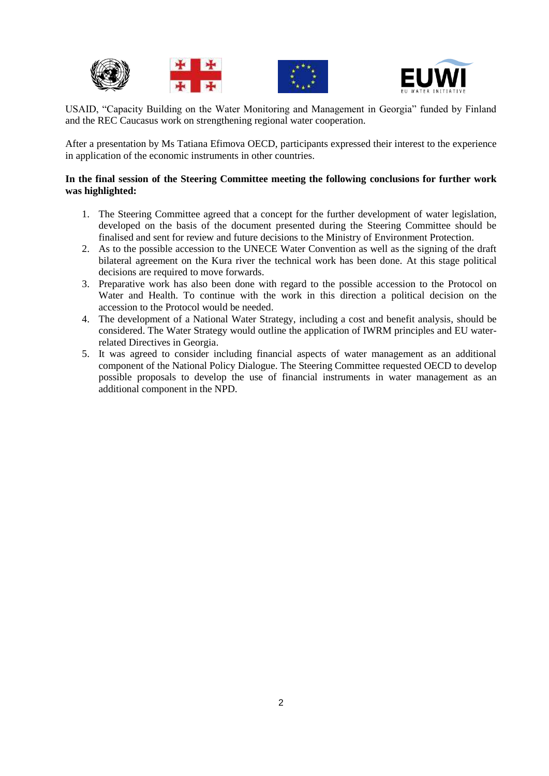



USAID, "Capacity Building on the Water Monitoring and Management in Georgia" funded by Finland and the REC Caucasus work on strengthening regional water cooperation.

After a presentation by Ms Tatiana Efimova OECD, participants expressed their interest to the experience in application of the economic instruments in other countries.

### **In the final session of the Steering Committee meeting the following conclusions for further work was highlighted:**

- 1. The Steering Committee agreed that a concept for the further development of water legislation, developed on the basis of the document presented during the Steering Committee should be finalised and sent for review and future decisions to the Ministry of Environment Protection.
- 2. As to the possible accession to the UNECE Water Convention as well as the signing of the draft bilateral agreement on the Kura river the technical work has been done. At this stage political decisions are required to move forwards.
- 3. Preparative work has also been done with regard to the possible accession to the Protocol on Water and Health. To continue with the work in this direction a political decision on the accession to the Protocol would be needed.
- 4. The development of a National Water Strategy, including a cost and benefit analysis, should be considered. The Water Strategy would outline the application of IWRM principles and EU waterrelated Directives in Georgia.
- 5. It was agreed to consider including financial aspects of water management as an additional component of the National Policy Dialogue. The Steering Committee requested OECD to develop possible proposals to develop the use of financial instruments in water management as an additional component in the NPD.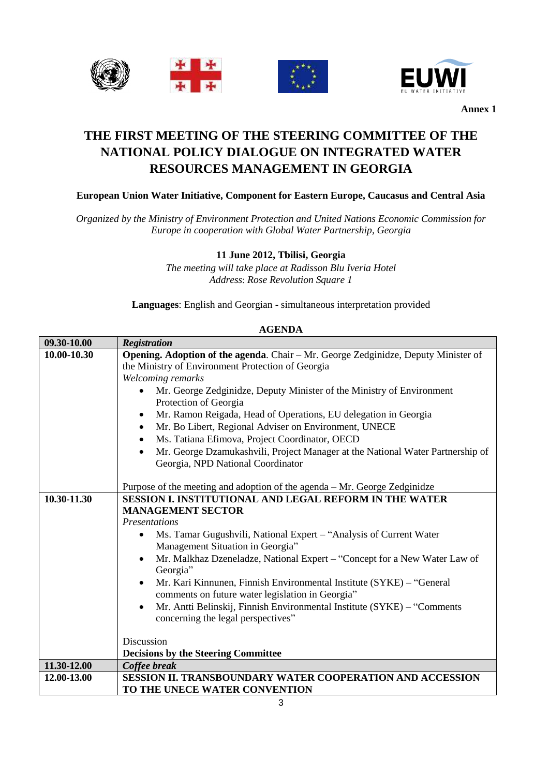



# **THE FIRST MEETING OF THE STEERING COMMITTEE OF THE NATIONAL POLICY DIALOGUE ON INTEGRATED WATER RESOURCES MANAGEMENT IN GEORGIA**

## **European Union Water Initiative, Component for Eastern Europe, Caucasus and Central Asia**

*Organized by the Ministry of Environment Protection and United Nations Economic Commission for Europe in cooperation with Global Water Partnership, Georgia*

## **11 June 2012, Tbilisi, Georgia**

*The meeting will take place at Radisson Blu Iveria Hotel Address*: *Rose Revolution Square 1*

**Languages**: English and Georgian - simultaneous interpretation provided

| 09.30-10.00 | <b>Registration</b>                                                                                                      |  |  |
|-------------|--------------------------------------------------------------------------------------------------------------------------|--|--|
| 10.00-10.30 | Opening. Adoption of the agenda. Chair - Mr. George Zedginidze, Deputy Minister of                                       |  |  |
|             | the Ministry of Environment Protection of Georgia                                                                        |  |  |
|             | Welcoming remarks                                                                                                        |  |  |
|             | Mr. George Zedginidze, Deputy Minister of the Ministry of Environment<br>Protection of Georgia                           |  |  |
|             | Mr. Ramon Reigada, Head of Operations, EU delegation in Georgia                                                          |  |  |
|             | Mr. Bo Libert, Regional Adviser on Environment, UNECE                                                                    |  |  |
|             | Ms. Tatiana Efimova, Project Coordinator, OECD                                                                           |  |  |
|             | Mr. George Dzamukashvili, Project Manager at the National Water Partnership of<br>Georgia, NPD National Coordinator      |  |  |
|             |                                                                                                                          |  |  |
|             | Purpose of the meeting and adoption of the agenda – Mr. George Zedginidze                                                |  |  |
| 10.30-11.30 | SESSION I. INSTITUTIONAL AND LEGAL REFORM IN THE WATER<br><b>MANAGEMENT SECTOR</b>                                       |  |  |
|             |                                                                                                                          |  |  |
|             | Presentations                                                                                                            |  |  |
|             | Ms. Tamar Gugushvili, National Expert – "Analysis of Current Water"                                                      |  |  |
|             | Management Situation in Georgia"                                                                                         |  |  |
|             | Mr. Malkhaz Dzeneladze, National Expert - "Concept for a New Water Law of<br>Georgia"                                    |  |  |
|             | Mr. Kari Kinnunen, Finnish Environmental Institute (SYKE) – "General<br>comments on future water legislation in Georgia" |  |  |
|             | Mr. Antti Belinskij, Finnish Environmental Institute (SYKE) - "Comments<br>concerning the legal perspectives"            |  |  |
|             |                                                                                                                          |  |  |
|             | Discussion                                                                                                               |  |  |
| 11.30-12.00 | <b>Decisions by the Steering Committee</b>                                                                               |  |  |
|             | Coffee break                                                                                                             |  |  |
| 12.00-13.00 | <b>SESSION II. TRANSBOUNDARY WATER COOPERATION AND ACCESSION</b>                                                         |  |  |
|             | TO THE UNECE WATER CONVENTION                                                                                            |  |  |

#### **AGENDA**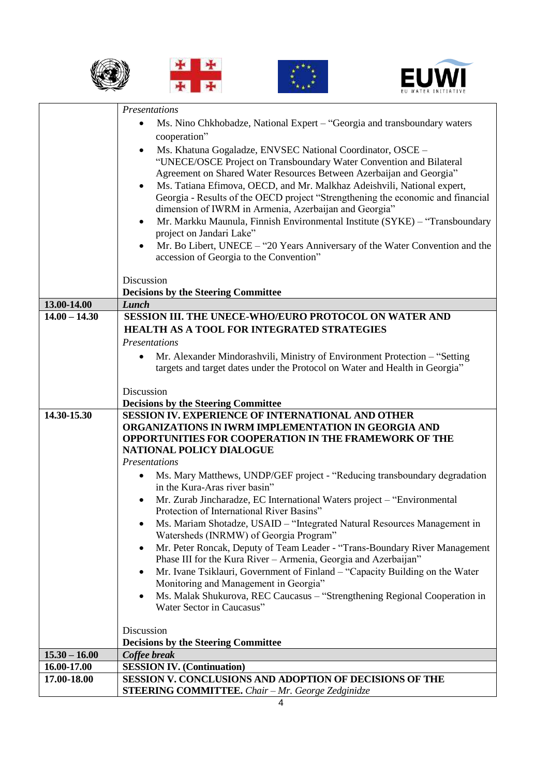







|                 | Presentations                                                                                                                                              |
|-----------------|------------------------------------------------------------------------------------------------------------------------------------------------------------|
|                 | Ms. Nino Chkhobadze, National Expert – "Georgia and transboundary waters                                                                                   |
|                 | cooperation"                                                                                                                                               |
|                 | Ms. Khatuna Gogaladze, ENVSEC National Coordinator, OSCE -<br>$\bullet$                                                                                    |
|                 | "UNECE/OSCE Project on Transboundary Water Convention and Bilateral                                                                                        |
|                 | Agreement on Shared Water Resources Between Azerbaijan and Georgia"                                                                                        |
|                 | Ms. Tatiana Efimova, OECD, and Mr. Malkhaz Adeishvili, National expert,<br>$\bullet$                                                                       |
|                 | Georgia - Results of the OECD project "Strengthening the economic and financial                                                                            |
|                 | dimension of IWRM in Armenia, Azerbaijan and Georgia"                                                                                                      |
|                 | Mr. Markku Maunula, Finnish Environmental Institute (SYKE) - "Transboundary<br>$\bullet$                                                                   |
|                 | project on Jandari Lake"                                                                                                                                   |
|                 | Mr. Bo Libert, UNECE - "20 Years Anniversary of the Water Convention and the                                                                               |
|                 | accession of Georgia to the Convention"                                                                                                                    |
|                 |                                                                                                                                                            |
|                 | Discussion<br><b>Decisions by the Steering Committee</b>                                                                                                   |
| 13.00-14.00     | <b>Lunch</b>                                                                                                                                               |
| $14.00 - 14.30$ | SESSION III. THE UNECE-WHO/EURO PROTOCOL ON WATER AND                                                                                                      |
|                 | HEALTH AS A TOOL FOR INTEGRATED STRATEGIES                                                                                                                 |
|                 | <b>Presentations</b>                                                                                                                                       |
|                 | Mr. Alexander Mindorashvili, Ministry of Environment Protection - "Setting                                                                                 |
|                 | targets and target dates under the Protocol on Water and Health in Georgia"                                                                                |
|                 |                                                                                                                                                            |
|                 | Discussion                                                                                                                                                 |
|                 | <b>Decisions by the Steering Committee</b>                                                                                                                 |
| 14.30-15.30     | SESSION IV. EXPERIENCE OF INTERNATIONAL AND OTHER                                                                                                          |
|                 | ORGANIZATIONS IN IWRM IMPLEMENTATION IN GEORGIA AND                                                                                                        |
|                 | OPPORTUNITIES FOR COOPERATION IN THE FRAMEWORK OF THE                                                                                                      |
|                 | NATIONAL POLICY DIALOGUE                                                                                                                                   |
|                 | Presentations                                                                                                                                              |
|                 | Ms. Mary Matthews, UNDP/GEF project - "Reducing transboundary degradation<br>$\bullet$                                                                     |
|                 | in the Kura-Aras river basin"                                                                                                                              |
|                 | Mr. Zurab Jincharadze, EC International Waters project - "Environmental                                                                                    |
|                 | Protection of International River Basins"                                                                                                                  |
|                 | Ms. Mariam Shotadze, USAID – "Integrated Natural Resources Management in                                                                                   |
|                 | Watersheds (INRMW) of Georgia Program"                                                                                                                     |
|                 | Mr. Peter Roncak, Deputy of Team Leader - "Trans-Boundary River Management<br>$\bullet$<br>Phase III for the Kura River - Armenia, Georgia and Azerbaijan" |
|                 | Mr. Ivane Tsiklauri, Government of Finland – "Capacity Building on the Water                                                                               |
|                 | Monitoring and Management in Georgia"                                                                                                                      |
|                 | Ms. Malak Shukurova, REC Caucasus - "Strengthening Regional Cooperation in                                                                                 |
|                 | Water Sector in Caucasus"                                                                                                                                  |
|                 |                                                                                                                                                            |
|                 | Discussion                                                                                                                                                 |
|                 | <b>Decisions by the Steering Committee</b>                                                                                                                 |
| $15.30 - 16.00$ | Coffee break                                                                                                                                               |
| 16.00-17.00     | <b>SESSION IV. (Continuation)</b>                                                                                                                          |
| 17.00-18.00     | SESSION V. CONCLUSIONS AND ADOPTION OF DECISIONS OF THE                                                                                                    |
|                 | <b>STEERING COMMITTEE.</b> Chair - Mr. George Zedginidze                                                                                                   |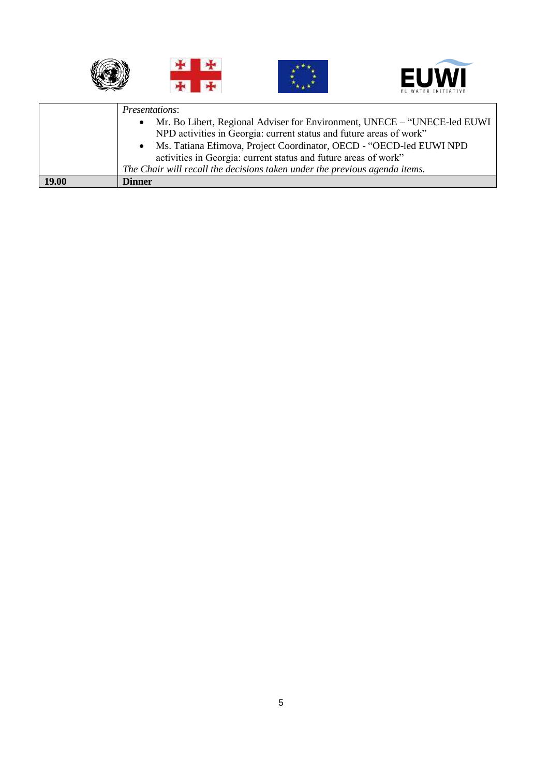



|       | <i>Presentations:</i><br>• Mr. Bo Libert, Regional Adviser for Environment, UNECE – "UNECE-led EUWI |  |
|-------|-----------------------------------------------------------------------------------------------------|--|
|       | NPD activities in Georgia: current status and future areas of work"                                 |  |
|       | • Ms. Tatiana Efimova, Project Coordinator, OECD - "OECD-led EUWI NPD                               |  |
|       | activities in Georgia: current status and future areas of work"                                     |  |
|       | The Chair will recall the decisions taken under the previous agenda items.                          |  |
| 19.00 | <b>Dinner</b>                                                                                       |  |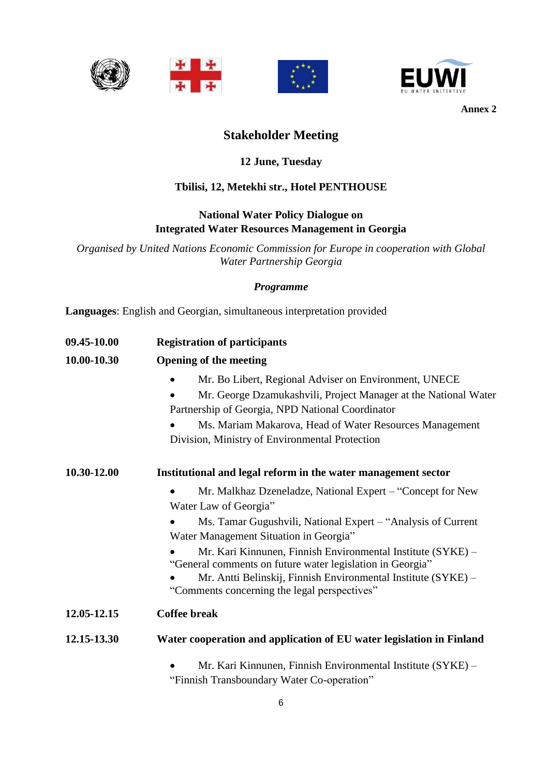







## **Stakeholder Meeting**

## **12 June, Tuesday**

## **Tbilisi, 12, Metekhi str., Hotel PENTHOUSE**

## **National Water Policy Dialogue on Integrated Water Resources Management in Georgia**

*Organised by United Nations Economic Commission for Europe in cooperation with Global Water Partnership Georgia*

## *Programme*

**Languages**: English and Georgian, simultaneous interpretation provided

| 09.45-10.00 | <b>Registration of participants</b>                                                                                                                                                                                                                                                       |  |
|-------------|-------------------------------------------------------------------------------------------------------------------------------------------------------------------------------------------------------------------------------------------------------------------------------------------|--|
| 10.00-10.30 | <b>Opening of the meeting</b>                                                                                                                                                                                                                                                             |  |
|             | Mr. Bo Libert, Regional Adviser on Environment, UNECE<br>Mr. George Dzamukashvili, Project Manager at the National Water<br>Partnership of Georgia, NPD National Coordinator<br>Ms. Mariam Makarova, Head of Water Resources Management<br>Division, Ministry of Environmental Protection |  |
| 10.30-12.00 | Institutional and legal reform in the water management sector                                                                                                                                                                                                                             |  |
|             | Mr. Malkhaz Dzeneladze, National Expert – "Concept for New<br>Water Law of Georgia"                                                                                                                                                                                                       |  |
|             | Ms. Tamar Gugushvili, National Expert – "Analysis of Current"<br>Water Management Situation in Georgia"                                                                                                                                                                                   |  |
|             | Mr. Kari Kinnunen, Finnish Environmental Institute (SYKE) -<br>"General comments on future water legislation in Georgia"<br>Mr. Antti Belinskij, Finnish Environmental Institute (SYKE) -<br>"Comments concerning the legal perspectives"                                                 |  |
| 12.05-12.15 | <b>Coffee break</b>                                                                                                                                                                                                                                                                       |  |
| 12.15-13.30 | Water cooperation and application of EU water legislation in Finland                                                                                                                                                                                                                      |  |
|             | Mr. Kari Kinnunen, Finnish Environmental Institute (SYKE) -                                                                                                                                                                                                                               |  |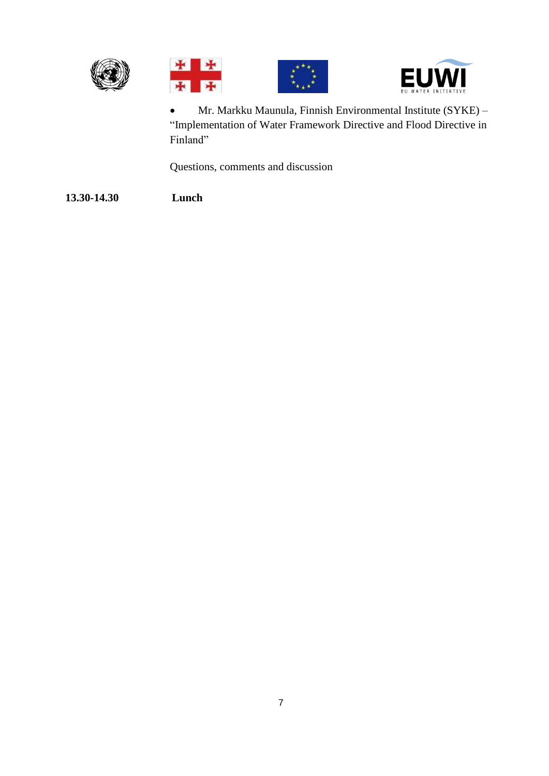







 Mr. Markku Maunula, Finnish Environmental Institute (SYKE) – "Implementation of Water Framework Directive and Flood Directive in Finland"

Questions, comments and discussion

**13.30-14.30 Lunch**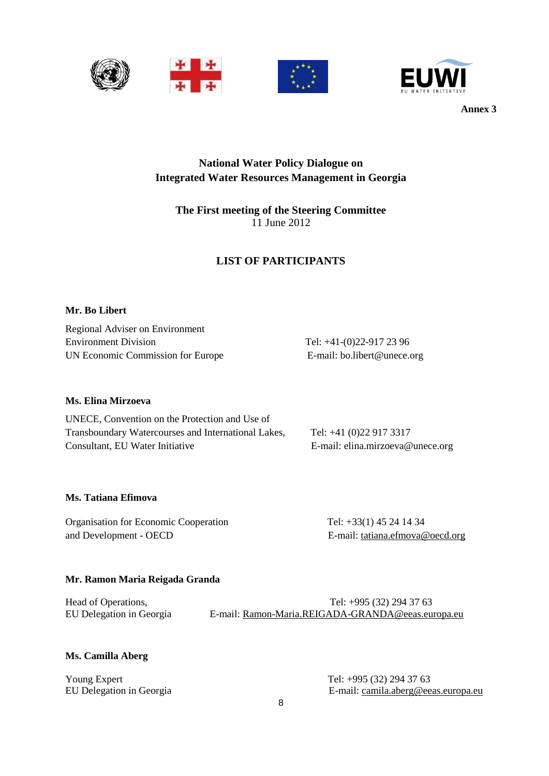





## **National Water Policy Dialogue on Integrated Water Resources Management in Georgia**

## **The First meeting of the Steering Committee** 11 June 2012

## **LIST OF PARTICIPANTS**

## **Mr. Bo Libert**

Regional Adviser on Environment Environment Division Tel: +41-(0)22-917 23 96 UN Economic Commission for Europe E-mail: bo.libert@unece.org

## **Ms. Elina Mirzoeva**

| UNECE, Convention on the Protection and Use of      |                                  |
|-----------------------------------------------------|----------------------------------|
| Transboundary Watercourses and International Lakes, | Tel: $+41(0)229173317$           |
| Consultant, EU Water Initiative                     | E-mail: elina.mirzoeva@unece.org |

### **Ms. Tatiana Efimova**

Organisation for Economic Cooperation Tel: +33(1) 45 24 14 34 and Development - OECD E-mail: [tatiana.efmova@oecd.org](mailto:tatiana.efmova@oecd.org)

## **Mr. Ramon Maria Reigada Granda**

Head of Operations, Tel: +995 (32) 294 37 63 EU Delegation in Georgia E-mail: [Ramon-Maria.REIGADA-GRANDA@eeas.europa.eu](mailto:Ramon-Maria.REIGADA-GRANDA@eeas.europa.eu)

### **Ms. Camilla Aberg**

Young Expert Tel: +995 (32) 294 37 63

EU Delegation in Georgia E-mail: [camila.aberg@eeas.europa.eu](mailto:camila.aberg@eeas.europa.eu)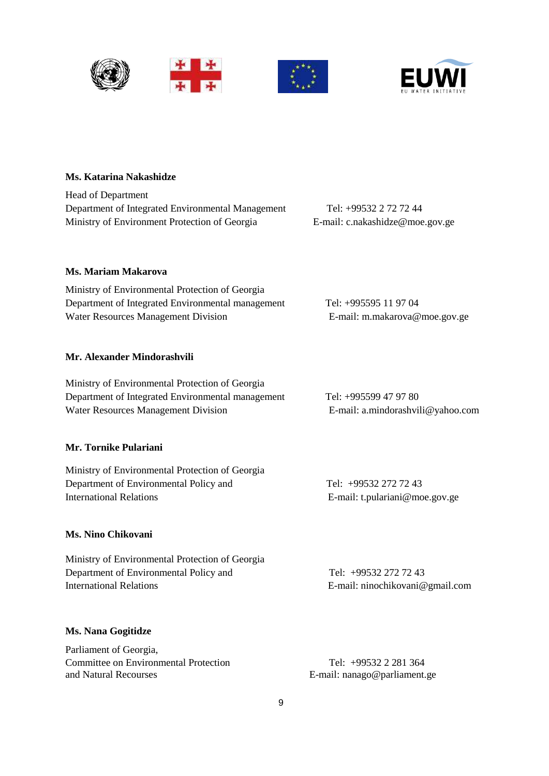



## **Ms. Katarina Nakashidze**

Head of Department Department of Integrated Environmental Management Tel: +99532 2 72 72 44 Ministry of Environment Protection of Georgia E-mail: c.nakashidze@moe.gov.ge

**Ms. Mariam Makarova**

Ministry of Environmental Protection of Georgia Department of Integrated Environmental management Tel: +995595 11 97 04 Water Resources Management Division E-mail: m.makarova@moe.gov.ge

#### **Mr. Alexander Mindorashvili**

Ministry of Environmental Protection of Georgia Department of Integrated Environmental management Tel: +995599 47 97 80 Water Resources Management Division E-mail: a.mindorashvili@yahoo.com

#### **Mr. Tornike Pulariani**

Ministry of Environmental Protection of Georgia Department of Environmental Policy and Tel: +99532 272 72 43 International Relations **E**-mail: t.pulariani@moe.gov.ge

### **Ms. Nino Chikovani**

| Ministry of Environmental Protection of Georgia |                                 |
|-------------------------------------------------|---------------------------------|
| Department of Environmental Policy and          | Tel: +99532 272 72 43           |
| International Relations                         | E-mail: ninochikovani@gmail.com |

#### **Ms. Nana Gogitidze**

Parliament of Georgia, Committee on Environmental Protection<br>and Natural Recourses<br>E-mail: nanago@parliament.

E-mail: nanago@parliament.ge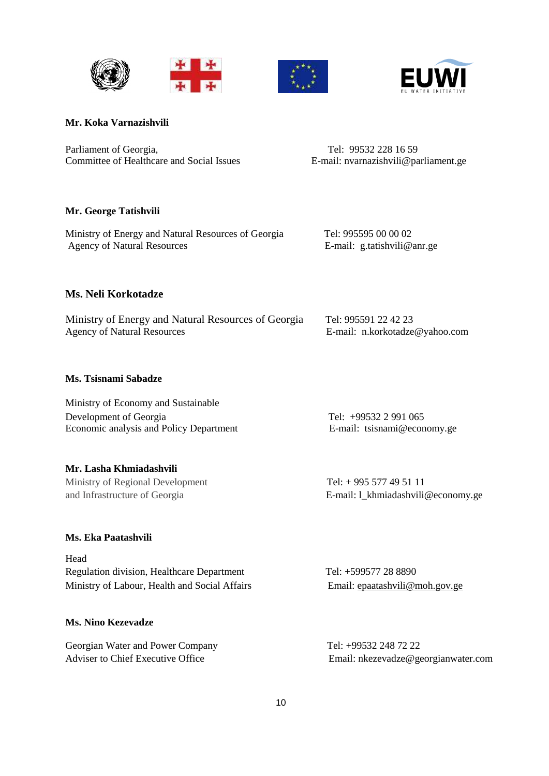





### **Mr. Koka Varnazishvili**

Parliament of Georgia, Tel: 99532 228 16 59 Committee of Healthcare and Social Issues E-mail: nvarnazishvili@parliament.ge

### **Mr. George Tatishvili**

Ministry of Energy and Natural Resources of Georgia Tel: 995595 00 00 02<br>Agency of Natural Resources E-mail: g.tatishvili@anr.ge Agency of Natural Resources

## **Ms. Neli Korkotadze**

| Ministry of Energy and Natural Resources of Georgia | Tel: 995591 22 42 23           |
|-----------------------------------------------------|--------------------------------|
| <b>Agency of Natural Resources</b>                  | E-mail: n.korkotadze@yahoo.com |

## **Ms. Tsisnami Sabadze**

| Ministry of Economy and Sustainable     |                             |
|-----------------------------------------|-----------------------------|
| Development of Georgia                  | Tel: $+995322991065$        |
| Economic analysis and Policy Department | E-mail: tsisnami@economy.ge |

### **Mr. Lasha Khmiadashvili**

Ministry of Regional Development Tel: + 995 577 49 51 11 and Infrastructure of Georgia E-mail: l\_khmiadashvili@economy.ge

### **Ms. Eka Paatashvili**

| Head                                          |                                |
|-----------------------------------------------|--------------------------------|
| Regulation division, Healthcare Department    | Tel: +599577 28 8890           |
| Ministry of Labour, Health and Social Affairs | Email: epaatashvili@moh.gov.ge |

## **Ms. Nino Kezevadze**

Georgian Water and Power Company Tel: +99532 248 72 22

Adviser to Chief Executive Office Email: nkezevadze@georgianwater.com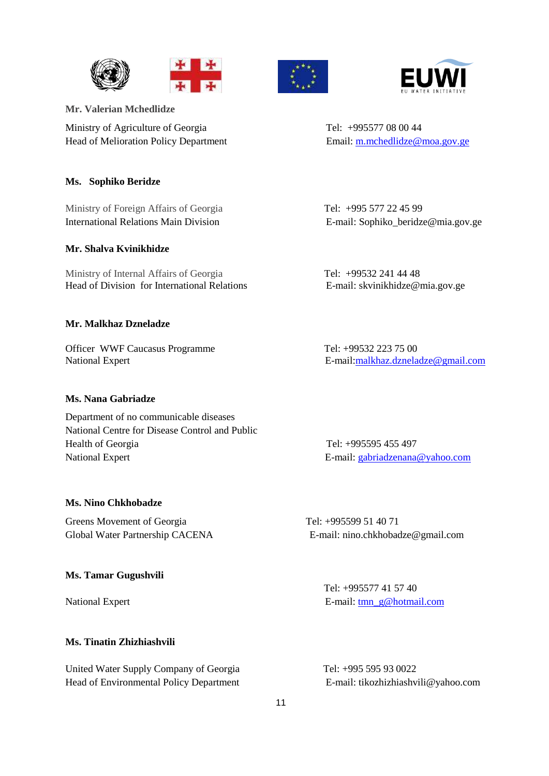







**Mr. Valerian Mchedlidze**

Ministry of Agriculture of Georgia Tel: +995577 08 00 44 Head of Melioration Policy Department Email[: m.mchedlidze@moa.gov.ge](mailto:m.mchedlidze@moa.gov.ge)

## **Ms. Sophiko Beridze**

Ministry of Foreign Affairs of GeorgiaTel: +995 577 22 45 99 International Relations Main DivisionE-mail: Sophiko\_beridze@mia.gov.ge

### **Mr. Shalva Kvinikhidze**

Ministry of Internal Affairs of Georgia Tel: +99532 241 44 48 Head of Division for International Relations E-mail: skvinikhidze@mia.gov.ge

### **Mr. Malkhaz Dzneladze**

Officer WWF Caucasus Programme Tel: +99532 223 75 00

### **Ms. Nana Gabriadze**

Department of no communicable diseases National Centre for Disease Control and Public Health of Georgia Tel: +995595 455 497 National Expert E-mail: [gabriadzenana@yahoo.com](mailto:gabriadzenana@yahoo.com)

### **Ms. Nino Chkhobadze**

Greens Movement of Georgia Tel: +995599 51 40 71

### **Ms. Tamar Gugushvili**

## **Ms. Tinatin Zhizhiashvili**

United Water Supply Company of Georgia Tel: +995 595 93 0022 Head of Environmental Policy Department E-mail: tikozhizhiashvili@yahoo.com

National Expert E-mail[:malkhaz.dzneladze@gmail.com](mailto:malkhaz.dzneladze@gmail.com)

Global Water Partnership CACENA E-mail: nino.chkhobadze@gmail.com

 Tel: +995577 41 57 40 National Expert E-mail: [tmn\\_g@hotmail.com](mailto:tmn_g@hotmail.com)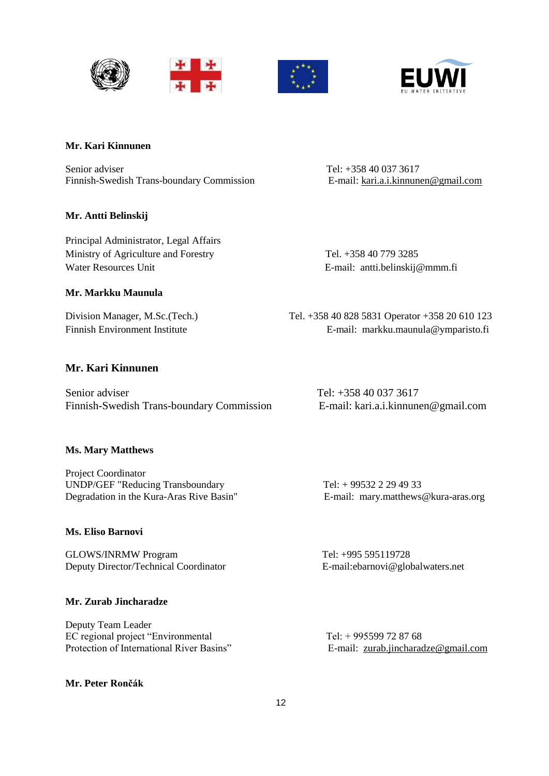





## **Mr. Kari Kinnunen**

Senior adviser<br>
Finnish-Swedish Trans-boundary Commission<br>
E-mail: kari.a.i.kinnunen@gmail.com Finnish-Swedish Trans-boundary Commission

## **Mr. Antti Belinskij**

Principal Administrator, Legal Affairs Ministry of Agriculture and Forestry Tel. +358 40 779 3285 Water Resources Unit **E-mail:** antti.belinskij@mmm.fi

**Mr. Markku Maunula**

Division Manager, M.Sc.(Tech.) Tel. +358 40 828 5831 Operator +358 20 610 123 Finnish Environment Institute E-mail: markku.maunula@ymparisto.fi

## **Mr. Kari Kinnunen**

Senior adviser Tel: +358 40 037 3617 Finnish-Swedish Trans-boundary Commission E-mail: kari.a.i.kinnunen@gmail.com

### **Ms. Mary Matthews**

Project Coordinator UNDP/GEF "Reducing Transboundary Tel: + 99532 2 29 49 33 Degradation in the Kura-Aras Rive Basin" E-mail: [mary.matthews@kura-aras.org](mailto:mary.matthews@kura-aras.org)

## **Ms. Eliso Barnovi**

GLOWS/INRMW Program Tel: +995 595119728 Deputy Director/Technical Coordinator E-mail:ebarnovi@globalwaters.net

## **Mr. Zurab Jincharadze**

Deputy Team Leader EC regional project "Environmental Tel: + 995599 72 87 68 Protection of International River Basins" E-mail: [zurab.jincharadze@gmail.com](mailto:zurab.jincharadze@gmail.com)

### **Mr. Peter Rončák**

12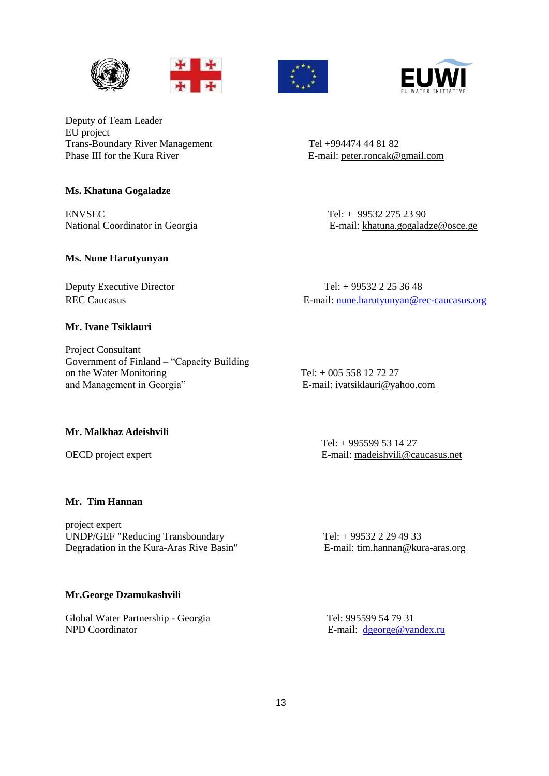







Deputy of Team Leader EU project Trans-Boundary River Management<br>
Tel +994474 44 81 82<br>
Phase III for the Kura River<br>
E-mail: peter.roncak@

### **Ms. Khatuna Gogaladze**

ENVSEC Tel: + 99532 275 23 90

### **Ms. Nune Harutyunyan**

### **Mr. Ivane Tsiklauri**

Project Consultant Government of Finland – "Capacity Building on the Water Monitoring<br>
and Management in Georgia<sup>"</sup><br>
E-mail: <u>ivatsiklauri@ya</u>

E-mail: [peter.roncak@gmail.com](mailto:peter.roncak@gmail.com)

National Coordinator in Georgia **E-mail:** [khatuna.gogaladze@osce.ge](mailto:khatuna.gogaladze@osce.ge)

Deputy Executive Director Tel: + 99532 2 25 36 48 REC Caucasus E-mail: [nune.harutyunyan@rec-caucasus.org](mailto:nune.harutyunyan@rec-caucasus.org)

E-mail: [ivatsiklauri@yahoo.com](mailto:ivatsiklauri@yahoo.com)

#### **Mr. Malkhaz Adeishvili**

 Tel: + 995599 53 14 27 OECD project expert E-mail: [madeishvili@caucasus.net](mailto:madeishvili@caucasus.net)

## **Mr. Tim Hannan**

project expert UNDP/GEF "Reducing Transboundary Tel: + 99532 2 29 49 33 Degradation in the Kura-Aras Rive Basin" E-mail: tim.hannan@kura-aras.org

#### **Mr.George Dzamukashvili**

Global Water Partnership - Georgia Tel: 995599 54 79 31 NPD Coordinator **E-mail:** [dgeorge@yandex.ru](mailto:dgeorge@yandex.ru)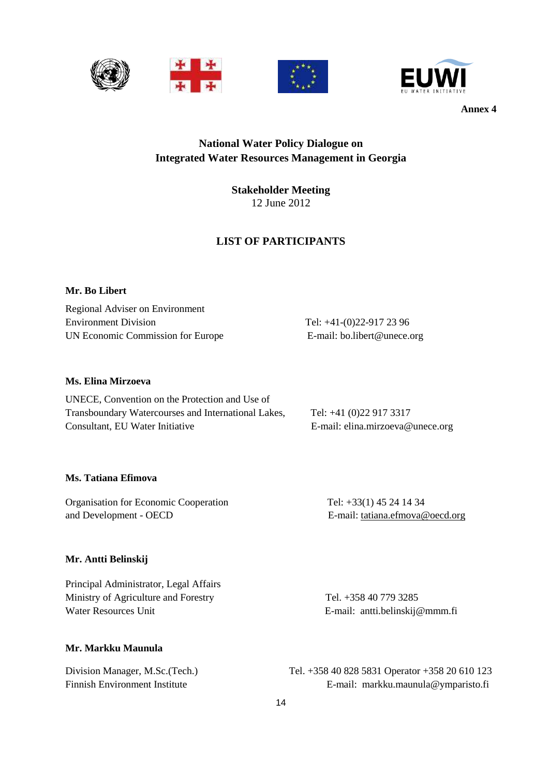





## **National Water Policy Dialogue on Integrated Water Resources Management in Georgia**

**Stakeholder Meeting** 12 June 2012

## **LIST OF PARTICIPANTS**

### **Mr. Bo Libert**

Regional Adviser on Environment Environment Division Tel: +41-(0)22-917 23 96 UN Economic Commission for Europe E-mail: bo.libert@unece.org

### **Ms. Elina Mirzoeva**

| UNECE, Convention on the Protection and Use of      |                                  |
|-----------------------------------------------------|----------------------------------|
| Transboundary Watercourses and International Lakes, | Tel: $+41$ (0)22 917 3317        |
| Consultant, EU Water Initiative                     | E-mail: elina.mirzoeva@unece.org |

#### **Ms. Tatiana Efimova**

Organisation for Economic Cooperation Tel: +33(1) 45 24 14 34 and Development - OECD E-mail: [tatiana.efmova@oecd.org](mailto:tatiana.efmova@oecd.org)

### **Mr. Antti Belinskij**

Principal Administrator, Legal Affairs Ministry of Agriculture and Forestry Tel. +358 40 779 3285 Water Resources Unit E-mail: antti.belinskij@mmm.fi

## **Mr. Markku Maunula**

Division Manager, M.Sc.(Tech.) Tel. +358 40 828 5831 Operator +358 20 610 123 Finnish Environment Institute E-mail: markku.maunula@ymparisto.fi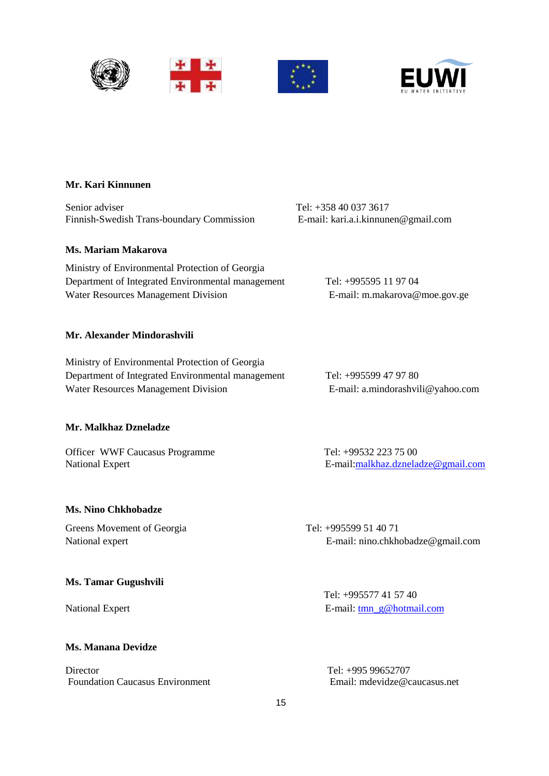





## **Mr. Kari Kinnunen**

Senior adviser<br>
Finnish-Swedish Trans-boundary Commission<br>
E-mail: kari.a.i.kinnunen@gmail.com Finnish-Swedish Trans-boundary Commission

#### **Ms. Mariam Makarova**

Ministry of Environmental Protection of Georgia Department of Integrated Environmental management Tel: +995595 11 97 04 Water Resources Management Division **E-mail:** m.makarova@moe.gov.ge

#### **Mr. Alexander Mindorashvili**

Ministry of Environmental Protection of Georgia Department of Integrated Environmental management Tel: +995599 47 97 80 Water Resources Management Division E-mail: a.mindorashvili@yahoo.com

#### **Mr. Malkhaz Dzneladze**

Officer WWF Caucasus Programme Tel: +99532 223 75 00

#### **Ms. Nino Chkhobadze**

Greens Movement of Georgia Tel: +995599 51 40 71

#### **Ms. Tamar Gugushvili**

### **Ms. Manana Devidze**

Director Tel: +995 99652707 Foundation Caucasus Environment Email: mdevidze@caucasus.net

National Expert E-mail[:malkhaz.dzneladze@gmail.com](mailto:malkhaz.dzneladze@gmail.com)

National expert E-mail: nino.chkhobadze@gmail.com

 Tel: +995577 41 57 40 National Expert E-mail: [tmn\\_g@hotmail.com](mailto:tmn_g@hotmail.com)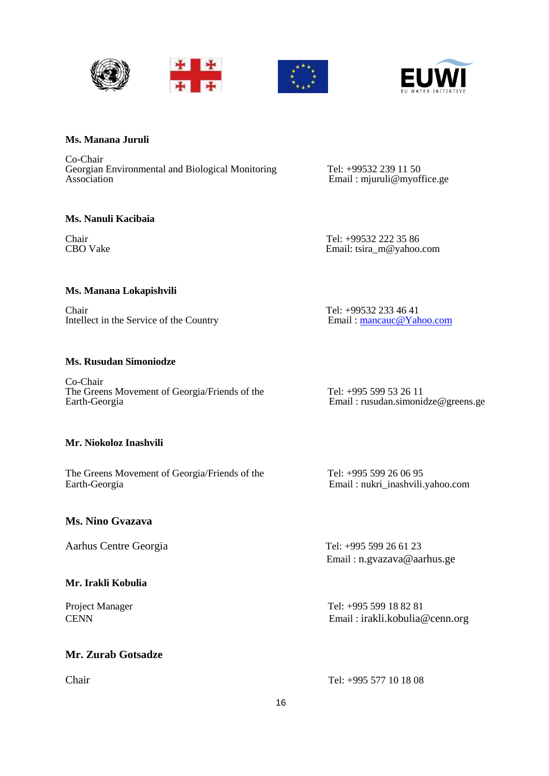





#### **Ms. Manana Juruli**

Co-Chair Georgian Environmental and Biological Monitoring Tel: +99532 239 11 50<br>Association Email: miuruli@mvof

**Ms. Nanuli Kacibaia**

Email : mjuruli@myoffice.ge

Chair Tel: +99532 222 35 86<br>CBO Vake Email: tsira m@vahoo. Email: tsira\_m@yahoo.com

#### **Ms. Manana Lokapishvili**

Chair<br>Intellect in the Service of the Country<br>Intellect in the Service of the Country<br>Intellect in the Service of the Country<br>Intellect in the Service of the Country<br>Intellect in the Service of the Country Intellect in the Service of the Country

#### **Ms. Rusudan Simoniodze**

Co-Chair The Greens Movement of Georgia/Friends of the Tel: +995 599 53 26 11<br>Earth-Georgia Email: rusudan.simonic

#### **Mr. Niokoloz Inashvili**

The Greens Movement of Georgia/Friends of the Tel: +995 599 26 06 95 Earth-Georgia Email : nukri\_inashvili.yahoo.com

## **Ms. Nino Gvazava**

Aarhus Centre Georgia Tel: +995 599 26 61 23

## **Mr. Irakli Kobulia**

## **Mr. Zurab Gotsadze**

Email : rusudan.simonidze@greens.ge

Email : n.gvazava@aarhus.ge

Project Manager Tel: +995 599 18 82 81 CENN Email : irakli.kobulia@cenn.org

Chair Tel: +995 577 10 18 08